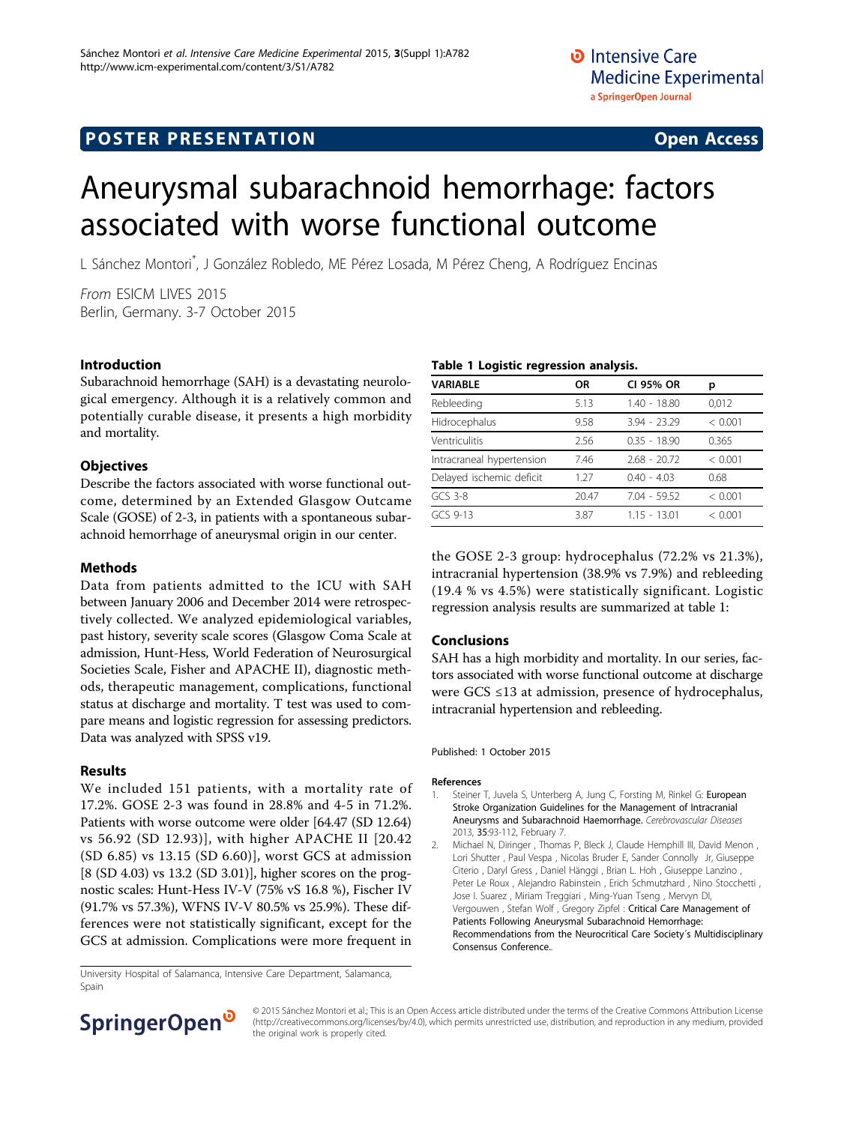# **POSTER PRESENTATION CONSUMING THE SERVICE SERVICE SERVICES**

# Aneurysmal subarachnoid hemorrhage: factors associated with worse functional outcome

L Sánchez Montori\* , J González Robledo, ME Pérez Losada, M Pérez Cheng, A Rodríguez Encinas

From ESICM LIVES 2015 Berlin, Germany. 3-7 October 2015

## Introduction

Subarachnoid hemorrhage (SAH) is a devastating neurological emergency. Although it is a relatively common and potentially curable disease, it presents a high morbidity and mortality.

### **Objectives**

Describe the factors associated with worse functional outcome, determined by an Extended Glasgow Outcame Scale (GOSE) of 2-3, in patients with a spontaneous subarachnoid hemorrhage of aneurysmal origin in our center.

### Methods

Data from patients admitted to the ICU with SAH between January 2006 and December 2014 were retrospectively collected. We analyzed epidemiological variables, past history, severity scale scores (Glasgow Coma Scale at admission, Hunt-Hess, World Federation of Neurosurgical Societies Scale, Fisher and APACHE II), diagnostic methods, therapeutic management, complications, functional status at discharge and mortality. T test was used to compare means and logistic regression for assessing predictors. Data was analyzed with SPSS v19.

### Results

We included 151 patients, with a mortality rate of 17.2%. GOSE 2-3 was found in 28.8% and 4-5 in 71.2%. Patients with worse outcome were older [64.47 (SD 12.64) vs 56.92 (SD 12.93)], with higher APACHE II [20.42 (SD 6.85) vs 13.15 (SD 6.60)], worst GCS at admission [8 (SD 4.03) vs 13.2 (SD 3.01)], higher scores on the prognostic scales: Hunt-Hess IV-V (75% vS 16.8 %), Fischer IV (91.7% vs 57.3%), WFNS IV-V 80.5% vs 25.9%). These differences were not statistically significant, except for the GCS at admission. Complications were more frequent in

Table 1 Logistic regression analysis.

| Table I Logistic regression analysis. |           |                |         |
|---------------------------------------|-----------|----------------|---------|
| VARIABLE                              | <b>OR</b> | CI 95% OR      | р       |
| Rebleeding                            | 5.13      | 1.40 - 18.80   | 0,012   |
| Hidrocephalus                         | 9.58      | $3.94 - 23.29$ | < 0.001 |
| Ventriculitis                         | 2.56      | $0.35 - 18.90$ | 0.365   |
| Intracraneal hypertension             | 7.46      | $2.68 - 20.72$ | < 0.001 |
| Delayed ischemic deficit              | 1.27      | $0.40 - 4.03$  | 0.68    |
| $GCS$ 3-8                             | 20.47     | $7.04 - 59.52$ | < 0.001 |
| GCS 9-13                              | 3.87      | $1.15 - 13.01$ | < 0.001 |
|                                       |           |                |         |

the GOSE 2-3 group: hydrocephalus (72.2% vs 21.3%), intracranial hypertension (38.9% vs 7.9%) and rebleeding (19.4 % vs 4.5%) were statistically significant. Logistic regression analysis results are summarized at table 1:

### Conclusions

SAH has a high morbidity and mortality. In our series, factors associated with worse functional outcome at discharge were GCS ≤13 at admission, presence of hydrocephalus, intracranial hypertension and rebleeding.

### Published: 1 October 2015

### References

- 1. Steiner T, Juvela S, Unterberg A, Jung C, Forsting M, Rinkel G: [European](http://www.ncbi.nlm.nih.gov/pubmed/23406828?dopt=Abstract) [Stroke Organization Guidelines for the Management of Intracranial](http://www.ncbi.nlm.nih.gov/pubmed/23406828?dopt=Abstract) [Aneurysms and Subarachnoid Haemorrhage.](http://www.ncbi.nlm.nih.gov/pubmed/23406828?dopt=Abstract) Cerebrovascular Diseases 2013, 35:93-112, February 7.
- 2. Michael N, Diringer , Thomas P, Bleck J, Claude Hemphill III, David Menon , Lori Shutter , Paul Vespa , Nicolas Bruder E, Sander Connolly Jr, Giuseppe Citerio , Daryl Gress , Daniel Hänggi , Brian L. Hoh , Giuseppe Lanzino , Peter Le Roux , Alejandro Rabinstein , Erich Schmutzhard , Nino Stocchetti , Jose I. Suarez , Miriam Treggiari , Ming-Yuan Tseng , Mervyn DI, Vergouwen , Stefan Wolf , Gregory Zipfel : Critical Care Management of Patients Following Aneurysmal Subarachnoid Hemorrhage: Recommendations from the Neurocritical Care Society´s Multidisciplinary Consensus Conference..

University Hospital of Salamanca, Intensive Care Department, Salamanca, Spain



© 2015 Sánchez Montori et al.; This is an Open Access article distributed under the terms of the Creative Commons Attribution License [\(http://creativecommons.org/licenses/by/4.0](http://creativecommons.org/licenses/by/4.0)), which permits unrestricted use, distribution, and reproduction in any medium, provided the original work is properly cited.